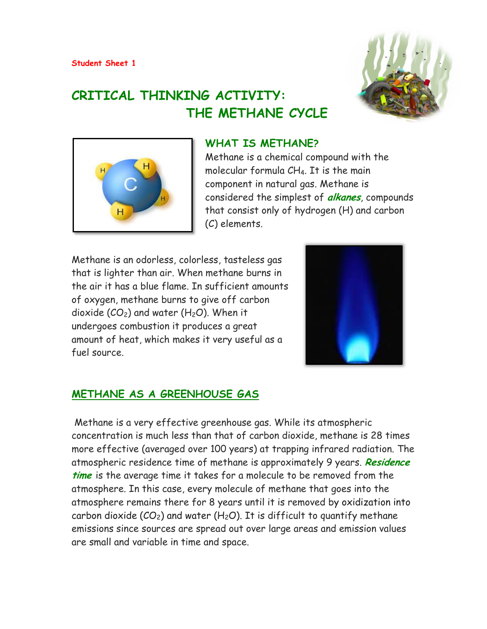

# **CRITICAL THINKING ACTIVITY: THE METHANE CYCLE**



### **WHAT IS METHANE?**

Methane is a chemical compound with the molecular formula CH4. It is the main component in natural gas. Methane is considered the simplest of **alkanes**, compounds that consist only of hydrogen (H) and carbon (C) elements.

Methane is an odorless, colorless, tasteless gas that is lighter than air. When methane burns in the air it has a blue flame. In sufficient amounts of oxygen, methane burns to give off carbon dioxide  $(CO_2)$  and water (H<sub>2</sub>O). When it undergoes combustion it produces a great amount of heat, which makes it very useful as a fuel source.



## **METHANE AS A GREENHOUSE GAS**

Methane is a very effective greenhouse gas. While its atmospheric concentration is much less than that of carbon dioxide, methane is 28 times more effective (averaged over 100 years) at trapping infrared radiation. The atmospheric residence time of methane is approximately 9 years. **Residence time** is the average time it takes for a molecule to be removed from the atmosphere. In this case, every molecule of methane that goes into the atmosphere remains there for 8 years until it is removed by oxidization into carbon dioxide ( $CO<sub>2</sub>$ ) and water (H<sub>2</sub>O). It is difficult to quantify methane emissions since sources are spread out over large areas and emission values are small and variable in time and space.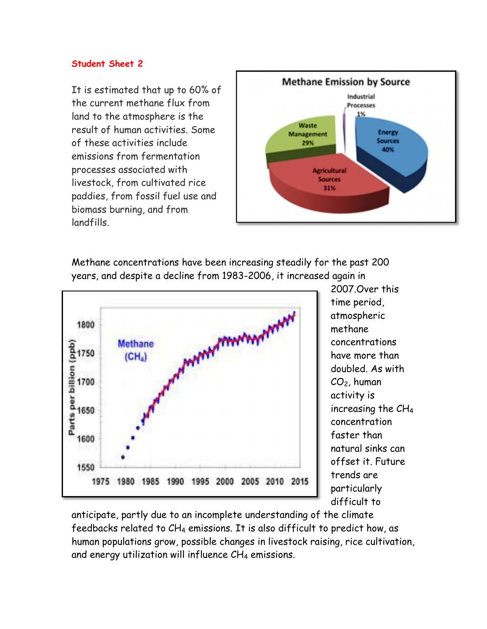It is estimated that up to 60% of the current methane flux from land to the atmosphere is the result of human activities. Some of these activities include emissions from fermentation processes associated with livestock, from cultivated rice paddies, from fossil fuel use and biomass burning, and from landfills.



Methane concentrations have been increasing steadily for the past 200 years, and despite a decline from 1983-2006, it increased again in



2007.Over this time period, atmospheric methane concentrations have more than doubled. As with CO2, human activity is increasing the CH<sup>4</sup> concentration faster than natural sinks can offset it. Future trends are particularly difficult to

anticipate, partly due to an incomplete understanding of the climate feedbacks related to CH<sup>4</sup> emissions. It is also difficult to predict how, as human populations grow, possible changes in livestock raising, rice cultivation, and energy utilization will influence  $CH_4$  emissions.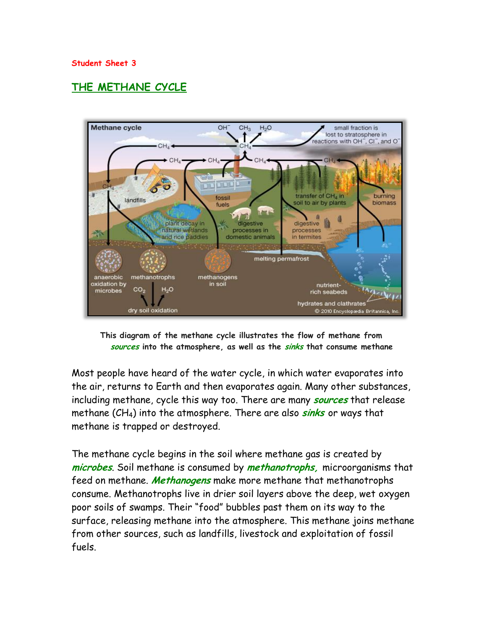## **THE METHANE CYCLE**



**This diagram of the methane cycle illustrates the flow of methane from sources into the atmosphere, as well as the sinks that consume methane**

Most people have heard of the water cycle, in which water evaporates into the air, returns to Earth and then evaporates again. Many other substances, including methane, cycle this way too. There are many **sources** that release methane (CH4) into the atmosphere. There are also **sinks** or ways that methane is trapped or destroyed.

The methane cycle begins in the soil where methane gas is created by **microbes**. Soil methane is consumed by **methanotrophs,** microorganisms that feed on methane. **Methanogens** make more methane that methanotrophs consume. Methanotrophs live in drier soil layers above the deep, wet oxygen poor soils of swamps. Their "food" bubbles past them on its way to the surface, releasing methane into the atmosphere. This methane joins methane from other sources, such as landfills, livestock and exploitation of fossil fuels.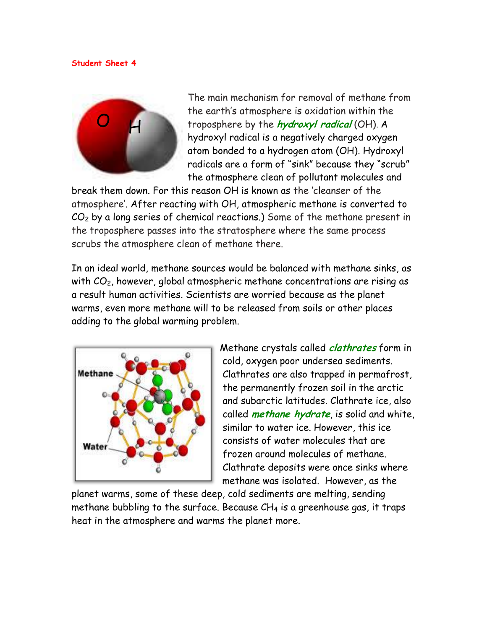

The main mechanism for removal of methane from the earth's atmosphere is oxidation within the troposphere by the **hydroxyl radical** (OH). A hydroxyl radical is a negatively charged oxygen atom bonded to a hydrogen atom (OH). Hydroxyl radicals are a form of "sink" because they "scrub" the atmosphere clean of pollutant molecules and

break them down. For this reason OH is known as the 'cleanser of the atmosphere'. After reacting with OH, atmospheric methane is converted to  $CO<sub>2</sub>$  by a long series of chemical reactions.) Some of the methane present in the troposphere passes into the stratosphere where the same process scrubs the atmosphere clean of methane there.

In an ideal world, methane sources would be balanced with methane sinks, as with  $CO<sub>2</sub>$ , however, global atmospheric methane concentrations are rising as a result human activities. Scientists are worried because as the planet warms, even more methane will to be released from soils or other places adding to the global warming problem.



Methane crystals called **clathrates** form in cold, oxygen poor undersea sediments. Clathrates are also trapped in permafrost, the permanently frozen soil in the arctic and subarctic latitudes. Clathrate ice, also called **methane hydrate**, is solid and white, similar to water ice. However, this ice consists of water molecules that are frozen around molecules of methane. Clathrate deposits were once sinks where methane was isolated. However, as the

planet warms, some of these deep, cold sediments are melting, sending methane bubbling to the surface. Because  $CH_4$  is a greenhouse gas, it traps heat in the atmosphere and warms the planet more.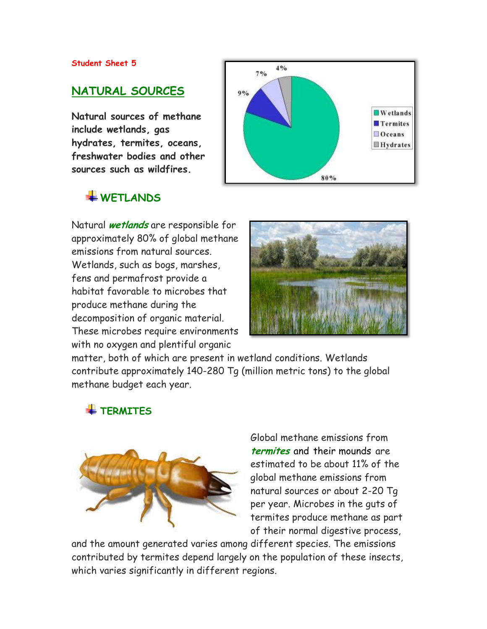## **NATURAL SOURCES**

**Natural sources of methane include wetlands, gas hydrates, termites, oceans, freshwater bodies and other sources such as wildfires.**

## **WETLANDS**

Natural **wetlands** are responsible for approximately 80% of global methane emissions from natural sources. Wetlands, such as bogs, marshes, fens and permafrost provide a habitat favorable to microbes that produce methane during the decomposition of organic material. These microbes require environments with no oxygen and plentiful organic





matter, both of which are present in wetland conditions. Wetlands contribute approximately 140-280 Tg (million metric tons) to the global methane budget each year.

## **TERMITES**



Global methane emissions from **termites** and their mounds are estimated to be about 11% of the global methane emissions from natural sources or about 2-20 Tg per year. Microbes in the guts of termites produce methane as part of their normal digestive process,

and the amount generated varies among different species. The emissions contributed by termites depend largely on the population of these insects, which varies significantly in different regions.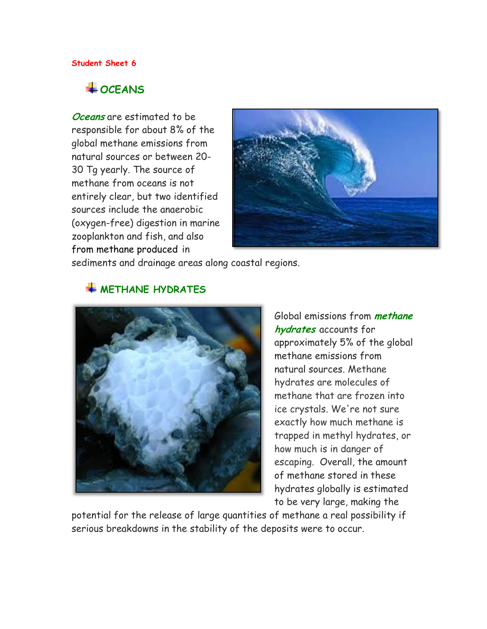## $\overline{\phantom{a} \bullet}$  OCEANS

**Oceans** are estimated to be responsible for about 8% of the global methane emissions from natural sources or between 20- 30 Tg yearly. The source of methane from oceans is not entirely clear, but two identified sources include the anaerobic (oxygen-free) digestion in marine zooplankton and fish, and also from methane produced in



sediments and drainage areas along coastal regions.



## **WETHANE HYDRATES**

Global emissions from **methane hydrates** accounts for approximately 5% of the global methane emissions from natural sources. Methane hydrates are molecules of methane that are frozen into ice crystals. We're not sure exactly how much methane is trapped in methyl hydrates, or how much is in danger of escaping. Overall, the amount of methane stored in these hydrates globally is estimated to be very large, making the

potential for the release of large quantities of methane a real possibility if serious breakdowns in the stability of the deposits were to occur.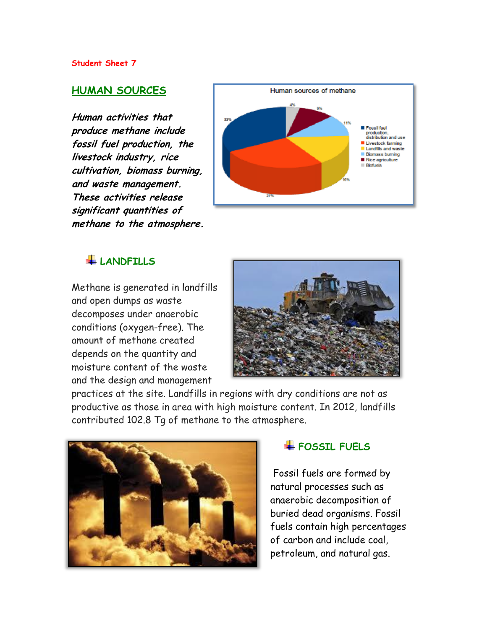### **HUMAN SOURCES**

**Human activities that produce methane include fossil fuel production, the livestock industry, rice cultivation, biomass burning, and waste management. These activities release significant quantities of methane to the atmosphere.**



### **LANDFILLS**

Methane is generated in landfills and open dumps as waste decomposes under anaerobic conditions (oxygen-free). The amount of methane created depends on the quantity and moisture content of the waste and the design and management



practices at the site. Landfills in regions with dry conditions are not as productive as those in area with high moisture content. In 2012, landfills contributed 102.8 Tg of methane to the atmosphere.



## **FOSSIL FUELS**

Fossil fuels are formed by natural processes such as [anaerobic decomposition](http://en.wikipedia.org/wiki/Anaerobic_decomposition) of buried dead [organisms.](http://en.wikipedia.org/wiki/Organism) Fossil fuels contain high percentages of [carbon](http://en.wikipedia.org/wiki/Carbon) and include [coal,](http://en.wikipedia.org/wiki/Coal) [petroleum,](http://en.wikipedia.org/wiki/Petroleum) and [natural gas.](http://en.wikipedia.org/wiki/Natural_gas)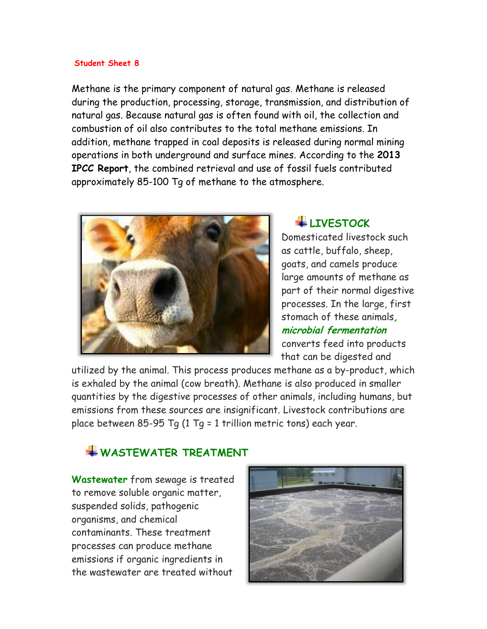Methane is the primary component of natural gas. Methane is released during the production, processing, storage, transmission, and distribution of natural gas. Because natural gas is often found with oil, the collection and combustion of oil also contributes to the total methane emissions. In addition, methane trapped in coal deposits is released during normal mining operations in both underground and surface mines. According to the **2013 IPCC Report**, the combined retrieval and use of fossil fuels contributed approximately 85-100 Tg of methane to the atmosphere.



## **LIVESTOCK**

Domesticated livestock such as cattle, buffalo, sheep, goats, and camels produce large amounts of methane as part of their normal digestive processes. In the large, first stomach of these animals**, microbial fermentation**  converts feed into products that can be digested and

utilized by the animal. This process produces methane as a by-product, which is exhaled by the animal (cow breath). Methane is also produced in smaller quantities by the digestive processes of other animals, including humans, but emissions from these sources are insignificant. Livestock contributions are place between 85-95 Tg (1 Tg = 1 trillion metric tons) each year.

## **WASTEWATER TREATMENT**

**Wastewater** from sewage is treated to remove soluble organic matter, suspended solids, pathogenic organisms, and chemical contaminants. These treatment processes can produce methane emissions if organic ingredients in the wastewater are treated without